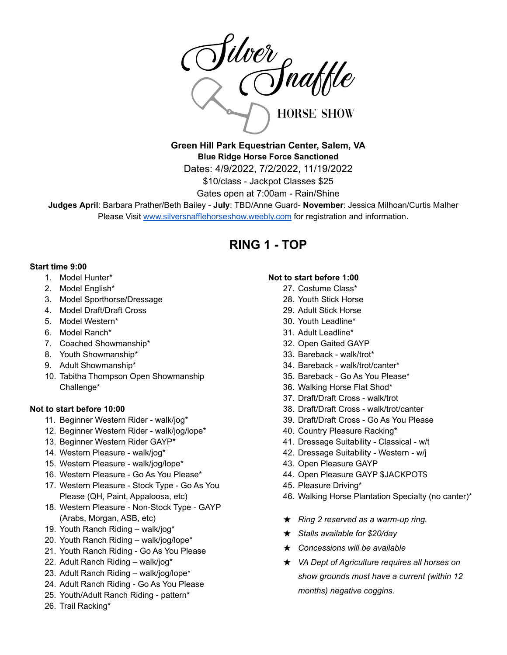

**Green Hill Park Equestrian Center, Salem, VA Blue Ridge Horse Force Sanctioned** Dates: 4/9/2022, 7/2/2022, 11/19/2022 \$10/class - Jackpot Classes \$25

Gates open at 7:00am - Rain/Shine

**Judges April**: Barbara Prather/Beth Bailey - **July**: TBD/Anne Guard- **November**: Jessica Milhoan/Curtis Malher Please Visit [www.silversnafflehorseshow.weebly.com](http://www.silversnafflehorseshow.weebly.com) for registration and information.

## **RING 1 - TOP**

### **Start time 9:00**

- 1. Model Hunter\*
- 2. Model English\*
- 3. Model Sporthorse/Dressage
- 4. Model Draft/Draft Cross
- 5. Model Western\*
- 6. Model Ranch\*
- 7. Coached Showmanship\*
- 8. Youth Showmanship\*
- 9. Adult Showmanship\*
- 10. Tabitha Thompson Open Showmanship Challenge\*

#### **Not to start before 10:00**

- 11. Beginner Western Rider walk/jog\*
- 12. Beginner Western Rider walk/jog/lope\*
- 13. Beginner Western Rider GAYP\*
- 14. Western Pleasure walk/jog\*
- 15. Western Pleasure walk/jog/lope\*
- 16. Western Pleasure Go As You Please\*
- 17. Western Pleasure Stock Type Go As You Please (QH, Paint, Appaloosa, etc)
- 18. Western Pleasure Non-Stock Type GAYP (Arabs, Morgan, ASB, etc)
- 19. Youth Ranch Riding walk/jog\*
- 20. Youth Ranch Riding walk/jog/lope\*
- 21. Youth Ranch Riding Go As You Please
- 22. Adult Ranch Riding walk/jog\*
- 23. Adult Ranch Riding walk/jog/lope\*
- 24. Adult Ranch Riding Go As You Please
- 25. Youth/Adult Ranch Riding pattern\*
- 26. Trail Racking\*

#### **Not to start before 1:00**

- 27. Costume Class\*
- 28. Youth Stick Horse
- 29. Adult Stick Horse
- 30. Youth Leadline\*
- 31. Adult Leadline\*
- 32. Open Gaited GAYP
- 33. Bareback walk/trot\*
- 34. Bareback walk/trot/canter\*
- 35. Bareback Go As You Please\*
- 36. Walking Horse Flat Shod\*
- 37. Draft/Draft Cross walk/trot
- 38. Draft/Draft Cross walk/trot/canter
- 39. Draft/Draft Cross Go As You Please
- 40. Country Pleasure Racking\*
- 41. Dressage Suitability Classical w/t
- 42. Dressage Suitability Western w/j
- 43. Open Pleasure GAYP
- 44. Open Pleasure GAYP \$JACKPOT\$
- 45. Pleasure Driving\*
- 46. Walking Horse Plantation Specialty (no canter)\*
- ★ *Ring 2 reserved as a warm-up ring.*
- ★ *Stalls available for \$20/day*
- ★ *Concessions will be available*
- ★ *VA Dept of Agriculture requires all horses on show grounds must have a current (within 12 months) negative coggins.*